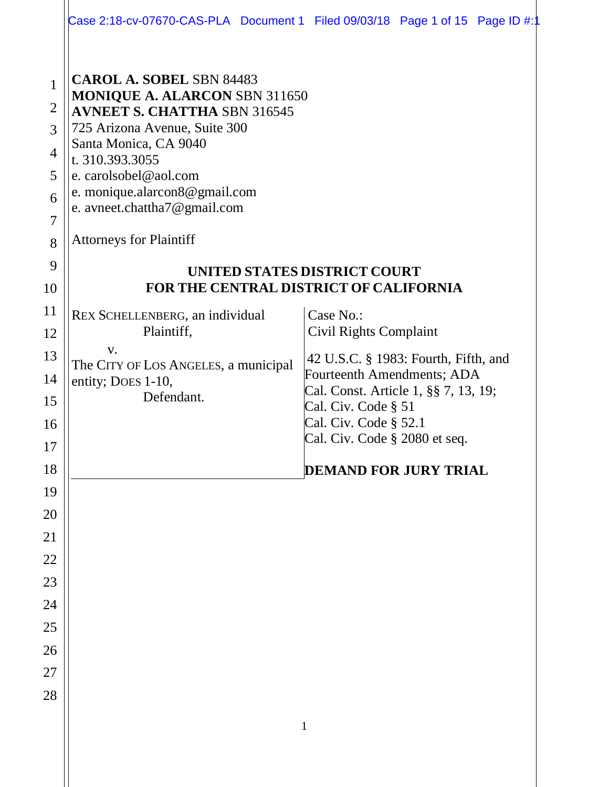|                | Case 2:18-cv-07670-CAS-PLA Document 1 Filed 09/03/18 Page 1 of 15 Page ID #:1 |              |                                                             |  |  |  |  |
|----------------|-------------------------------------------------------------------------------|--------------|-------------------------------------------------------------|--|--|--|--|
|                |                                                                               |              |                                                             |  |  |  |  |
| $\mathbf{1}$   | <b>CAROL A. SOBEL SBN 84483</b><br><b>MONIQUE A. ALARCON SBN 311650</b>       |              |                                                             |  |  |  |  |
| $\overline{2}$ | <b>AVNEET S. CHATTHA SBN 316545</b>                                           |              |                                                             |  |  |  |  |
| 3              | 725 Arizona Avenue, Suite 300                                                 |              |                                                             |  |  |  |  |
| $\overline{4}$ | Santa Monica, CA 9040                                                         |              |                                                             |  |  |  |  |
| 5              | t. 310.393.3055<br>e. carolsobel@aol.com                                      |              |                                                             |  |  |  |  |
| 6              | e. monique.alarcon8@gmail.com                                                 |              |                                                             |  |  |  |  |
| $\overline{7}$ | e. avneet.chattha7@gmail.com                                                  |              |                                                             |  |  |  |  |
| 8              | <b>Attorneys for Plaintiff</b>                                                |              |                                                             |  |  |  |  |
| 9              | UNITED STATES DISTRICT COURT                                                  |              |                                                             |  |  |  |  |
| 10             | <b>FOR THE CENTRAL DISTRICT OF CALIFORNIA</b>                                 |              |                                                             |  |  |  |  |
| 11             | REX SCHELLENBERG, an individual                                               |              | Case No.:                                                   |  |  |  |  |
| 12             | Plaintiff,                                                                    |              | Civil Rights Complaint                                      |  |  |  |  |
| 13             | V.<br>The CITY OF LOS ANGELES, a municipal                                    |              | 42 U.S.C. § 1983: Fourth, Fifth, and                        |  |  |  |  |
| 14             | entity; Does 1-10,                                                            |              | Fourteenth Amendments; ADA                                  |  |  |  |  |
| 15             | Defendant.                                                                    |              | Cal. Const. Article 1, §§ 7, 13, 19;<br>Cal. Civ. Code § 51 |  |  |  |  |
| 16             |                                                                               |              | Cal. Civ. Code § 52.1                                       |  |  |  |  |
| 17             |                                                                               |              | Cal. Civ. Code § 2080 et seq.                               |  |  |  |  |
| 18             |                                                                               |              | <b>DEMAND FOR JURY TRIAL</b>                                |  |  |  |  |
| 19             |                                                                               |              |                                                             |  |  |  |  |
| 20             |                                                                               |              |                                                             |  |  |  |  |
| 21             |                                                                               |              |                                                             |  |  |  |  |
| 22             |                                                                               |              |                                                             |  |  |  |  |
| 23             |                                                                               |              |                                                             |  |  |  |  |
| 24             |                                                                               |              |                                                             |  |  |  |  |
| 25             |                                                                               |              |                                                             |  |  |  |  |
| 26             |                                                                               |              |                                                             |  |  |  |  |
| 27             |                                                                               |              |                                                             |  |  |  |  |
| 28             |                                                                               |              |                                                             |  |  |  |  |
|                |                                                                               | $\mathbf{1}$ |                                                             |  |  |  |  |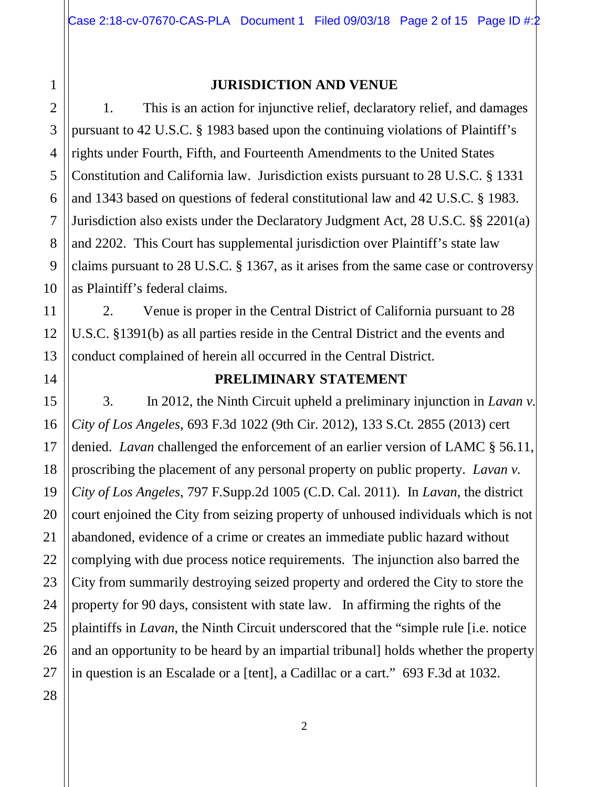# 1 2 3 4 5 6

7

8

9

10

11

12

13

#### **JURISDICTION AND VENUE**

1. This is an action for injunctive relief, declaratory relief, and damages pursuant to 42 U.S.C. § 1983 based upon the continuing violations of Plaintiff's rights under Fourth, Fifth, and Fourteenth Amendments to the United States Constitution and California law. Jurisdiction exists pursuant to 28 U.S.C. § 1331 and 1343 based on questions of federal constitutional law and 42 U.S.C. § 1983. Jurisdiction also exists under the Declaratory Judgment Act, 28 U.S.C. §§ 2201(a) and 2202. This Court has supplemental jurisdiction over Plaintiff's state law claims pursuant to 28 U.S.C. § 1367, as it arises from the same case or controversy as Plaintiff's federal claims.

2. Venue is proper in the Central District of California pursuant to 28 U.S.C. §1391(b) as all parties reside in the Central District and the events and conduct complained of herein all occurred in the Central District.

#### **PRELIMINARY STATEMENT**

3. In 2012, the Ninth Circuit upheld a preliminary injunction in *Lavan v. City of Los Angeles*, 693 F.3d 1022 (9th Cir. 2012), 133 S.Ct. 2855 (2013) cert denied. *Lavan* challenged the enforcement of an earlier version of LAMC § 56.11, proscribing the placement of any personal property on public property. *Lavan v. City of Los Angeles*, 797 F.Supp.2d 1005 (C.D. Cal. 2011). In *Lavan*, the district court enjoined the City from seizing property of unhoused individuals which is not abandoned, evidence of a crime or creates an immediate public hazard without complying with due process notice requirements. The injunction also barred the City from summarily destroying seized property and ordered the City to store the property for 90 days, consistent with state law. In affirming the rights of the plaintiffs in *Lavan*, the Ninth Circuit underscored that the "simple rule [i.e. notice and an opportunity to be heard by an impartial tribunal] holds whether the property in question is an Escalade or a [tent], a Cadillac or a cart." 693 F.3d at 1032.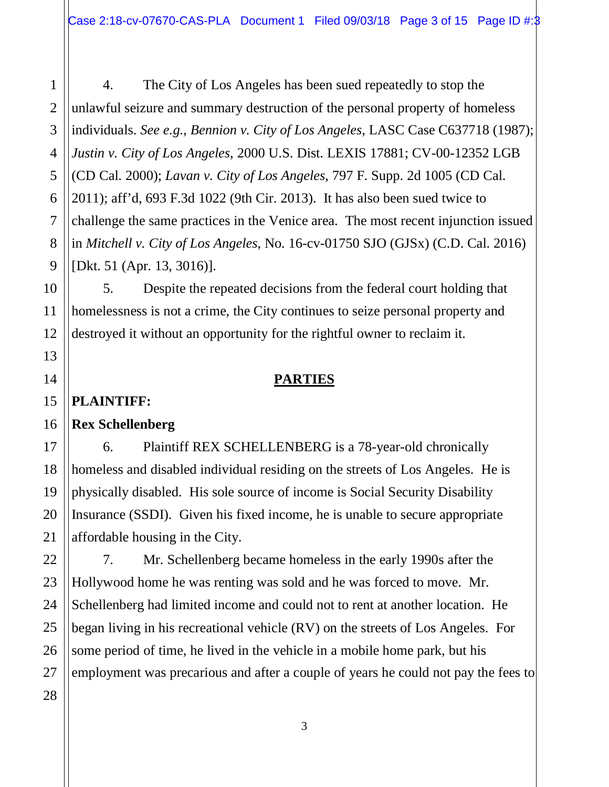4. The City of Los Angeles has been sued repeatedly to stop the unlawful seizure and summary destruction of the personal property of homeless individuals. *See e.g., Bennion v. City of Los Angeles*, LASC Case C637718 (1987); *Justin v. City of Los Angeles*, 2000 U.S. Dist. LEXIS 17881; CV-00-12352 LGB (CD Cal. 2000); *Lavan v. City of Los Angeles*, 797 F. Supp. 2d 1005 (CD Cal. 2011); aff'd, 693 F.3d 1022 (9th Cir. 2013). It has also been sued twice to challenge the same practices in the Venice area. The most recent injunction issued in *Mitchell v. City of Los Angeles*, No. 16-cv-01750 SJO (GJSx) (C.D. Cal. 2016) [Dkt. 51 (Apr. 13, 3016)].

5. Despite the repeated decisions from the federal court holding that homelessness is not a crime, the City continues to seize personal property and destroyed it without an opportunity for the rightful owner to reclaim it.

# **PARTIES**

# **PLAINTIFF:**

# **Rex Schellenberg**

6. Plaintiff REX SCHELLENBERG is a 78-year-old chronically homeless and disabled individual residing on the streets of Los Angeles. He is physically disabled. His sole source of income is Social Security Disability Insurance (SSDI). Given his fixed income, he is unable to secure appropriate affordable housing in the City.

7. Mr. Schellenberg became homeless in the early 1990s after the Hollywood home he was renting was sold and he was forced to move. Mr. Schellenberg had limited income and could not to rent at another location. He began living in his recreational vehicle (RV) on the streets of Los Angeles. For some period of time, he lived in the vehicle in a mobile home park, but his employment was precarious and after a couple of years he could not pay the fees to

1

2

3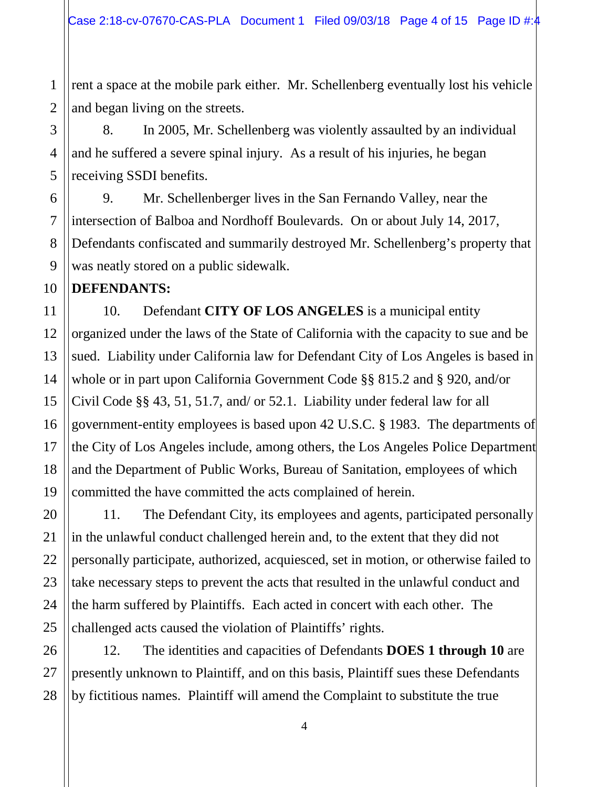1 2 rent a space at the mobile park either. Mr. Schellenberg eventually lost his vehicle and began living on the streets.

8. In 2005, Mr. Schellenberg was violently assaulted by an individual and he suffered a severe spinal injury. As a result of his injuries, he began receiving SSDI benefits.

9. Mr. Schellenberger lives in the San Fernando Valley, near the intersection of Balboa and Nordhoff Boulevards. On or about July 14, 2017, Defendants confiscated and summarily destroyed Mr. Schellenberg's property that was neatly stored on a public sidewalk.

#### **DEFENDANTS:**

10. Defendant **CITY OF LOS ANGELES** is a municipal entity organized under the laws of the State of California with the capacity to sue and be sued. Liability under California law for Defendant City of Los Angeles is based in whole or in part upon California Government Code §§ 815.2 and § 920, and/or Civil Code §§ 43, 51, 51.7, and/ or 52.1. Liability under federal law for all government-entity employees is based upon 42 U.S.C. § 1983. The departments of the City of Los Angeles include, among others, the Los Angeles Police Department and the Department of Public Works, Bureau of Sanitation, employees of which committed the have committed the acts complained of herein.

11. The Defendant City, its employees and agents, participated personally in the unlawful conduct challenged herein and, to the extent that they did not personally participate, authorized, acquiesced, set in motion, or otherwise failed to take necessary steps to prevent the acts that resulted in the unlawful conduct and the harm suffered by Plaintiffs. Each acted in concert with each other. The challenged acts caused the violation of Plaintiffs' rights.

12. The identities and capacities of Defendants **DOES 1 through 10** are presently unknown to Plaintiff, and on this basis, Plaintiff sues these Defendants by fictitious names. Plaintiff will amend the Complaint to substitute the true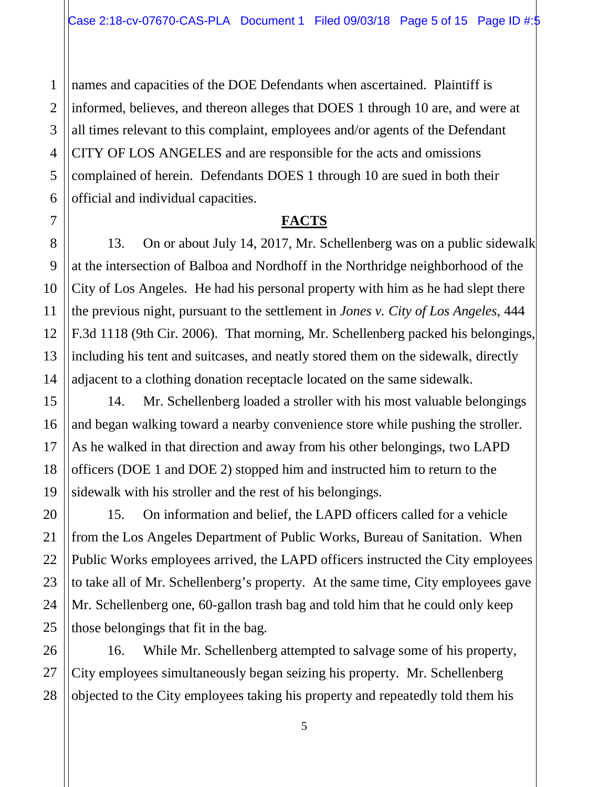names and capacities of the DOE Defendants when ascertained. Plaintiff is informed, believes, and thereon alleges that DOES 1 through 10 are, and were at all times relevant to this complaint, employees and/or agents of the Defendant CITY OF LOS ANGELES and are responsible for the acts and omissions complained of herein. Defendants DOES 1 through 10 are sued in both their official and individual capacities.

#### **FACTS**

13. On or about July 14, 2017, Mr. Schellenberg was on a public sidewalk at the intersection of Balboa and Nordhoff in the Northridge neighborhood of the City of Los Angeles. He had his personal property with him as he had slept there the previous night, pursuant to the settlement in *Jones v. City of Los Angeles*, 444 F.3d 1118 (9th Cir. 2006). That morning, Mr. Schellenberg packed his belongings, including his tent and suitcases, and neatly stored them on the sidewalk, directly adjacent to a clothing donation receptacle located on the same sidewalk.

14. Mr. Schellenberg loaded a stroller with his most valuable belongings and began walking toward a nearby convenience store while pushing the stroller. As he walked in that direction and away from his other belongings, two LAPD officers (DOE 1 and DOE 2) stopped him and instructed him to return to the sidewalk with his stroller and the rest of his belongings.

15. On information and belief, the LAPD officers called for a vehicle from the Los Angeles Department of Public Works, Bureau of Sanitation. When Public Works employees arrived, the LAPD officers instructed the City employees to take all of Mr. Schellenberg's property. At the same time, City employees gave Mr. Schellenberg one, 60-gallon trash bag and told him that he could only keep those belongings that fit in the bag.

16. While Mr. Schellenberg attempted to salvage some of his property, City employees simultaneously began seizing his property. Mr. Schellenberg objected to the City employees taking his property and repeatedly told them his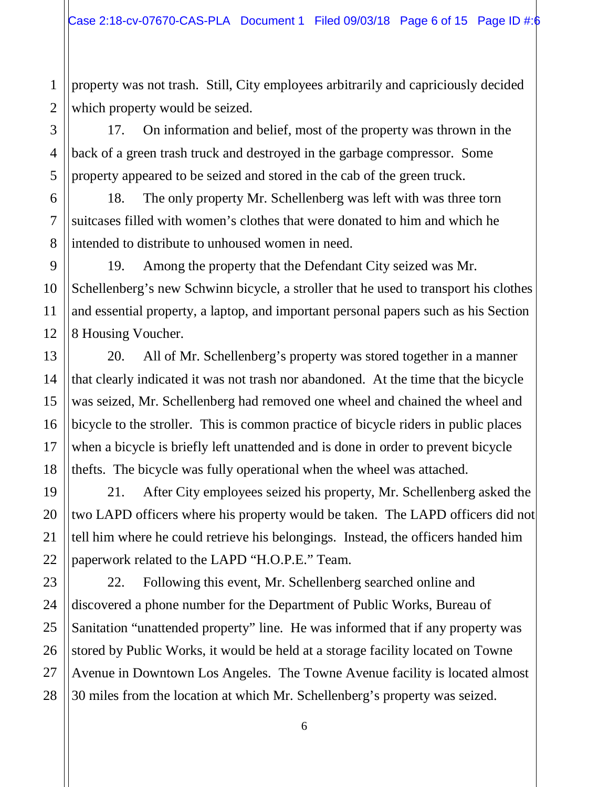1 property was not trash. Still, City employees arbitrarily and capriciously decided which property would be seized.

17. On information and belief, most of the property was thrown in the back of a green trash truck and destroyed in the garbage compressor. Some property appeared to be seized and stored in the cab of the green truck.

18. The only property Mr. Schellenberg was left with was three torn suitcases filled with women's clothes that were donated to him and which he intended to distribute to unhoused women in need.

19. Among the property that the Defendant City seized was Mr. Schellenberg's new Schwinn bicycle, a stroller that he used to transport his clothes and essential property, a laptop, and important personal papers such as his Section 8 Housing Voucher.

20. All of Mr. Schellenberg's property was stored together in a manner that clearly indicated it was not trash nor abandoned. At the time that the bicycle was seized, Mr. Schellenberg had removed one wheel and chained the wheel and bicycle to the stroller. This is common practice of bicycle riders in public places when a bicycle is briefly left unattended and is done in order to prevent bicycle thefts. The bicycle was fully operational when the wheel was attached.

21. After City employees seized his property, Mr. Schellenberg asked the two LAPD officers where his property would be taken. The LAPD officers did not tell him where he could retrieve his belongings. Instead, the officers handed him paperwork related to the LAPD "H.O.P.E." Team.

22. Following this event, Mr. Schellenberg searched online and discovered a phone number for the Department of Public Works, Bureau of Sanitation "unattended property" line. He was informed that if any property was stored by Public Works, it would be held at a storage facility located on Towne Avenue in Downtown Los Angeles. The Towne Avenue facility is located almost 30 miles from the location at which Mr. Schellenberg's property was seized.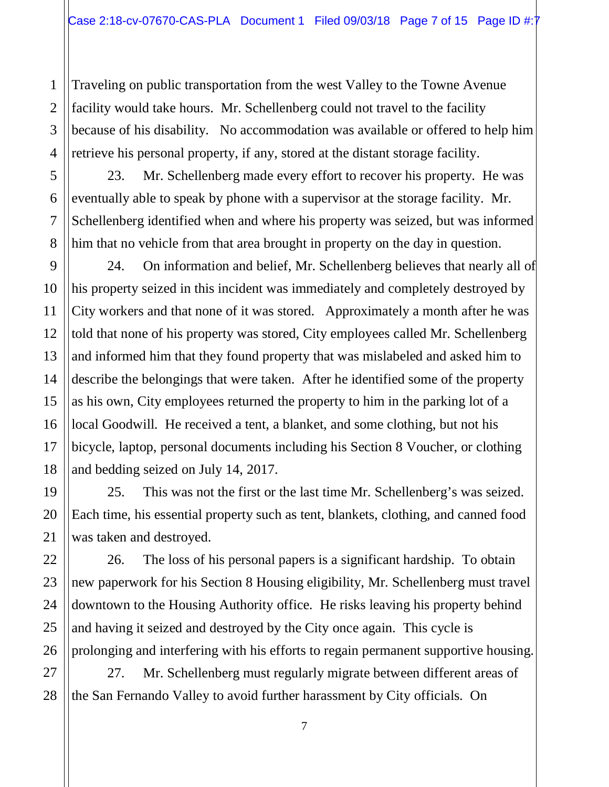Traveling on public transportation from the west Valley to the Towne Avenue facility would take hours. Mr. Schellenberg could not travel to the facility because of his disability. No accommodation was available or offered to help him retrieve his personal property, if any, stored at the distant storage facility.

23. Mr. Schellenberg made every effort to recover his property. He was eventually able to speak by phone with a supervisor at the storage facility. Mr. Schellenberg identified when and where his property was seized, but was informed him that no vehicle from that area brought in property on the day in question.

24. On information and belief, Mr. Schellenberg believes that nearly all of his property seized in this incident was immediately and completely destroyed by City workers and that none of it was stored. Approximately a month after he was told that none of his property was stored, City employees called Mr. Schellenberg and informed him that they found property that was mislabeled and asked him to describe the belongings that were taken. After he identified some of the property as his own, City employees returned the property to him in the parking lot of a local Goodwill. He received a tent, a blanket, and some clothing, but not his bicycle, laptop, personal documents including his Section 8 Voucher, or clothing and bedding seized on July 14, 2017.

25. This was not the first or the last time Mr. Schellenberg's was seized. Each time, his essential property such as tent, blankets, clothing, and canned food was taken and destroyed.

26. The loss of his personal papers is a significant hardship. To obtain new paperwork for his Section 8 Housing eligibility, Mr. Schellenberg must travel downtown to the Housing Authority office. He risks leaving his property behind and having it seized and destroyed by the City once again. This cycle is prolonging and interfering with his efforts to regain permanent supportive housing.

27. Mr. Schellenberg must regularly migrate between different areas of the San Fernando Valley to avoid further harassment by City officials. On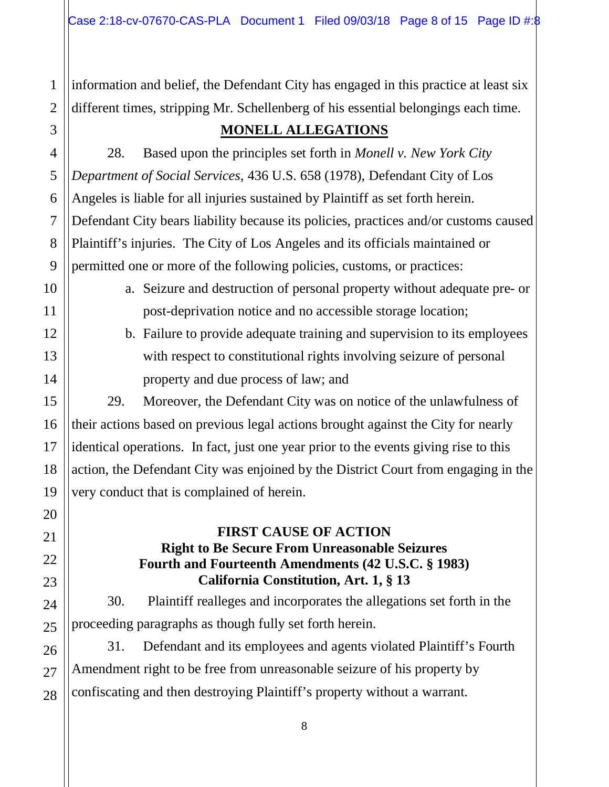information and belief, the Defendant City has engaged in this practice at least six different times, stripping Mr. Schellenberg of his essential belongings each time.

# 3

1

2

4

5

6

7

8

9

10

11

12

13

14

15

16

17

18

19

20

21

22

23

24

25

26

27

28

# **MONELL ALLEGATIONS**

28. Based upon the principles set forth in *Monell v. New York City Department of Social Services*, 436 U.S. 658 (1978), Defendant City of Los Angeles is liable for all injuries sustained by Plaintiff as set forth herein. Defendant City bears liability because its policies, practices and/or customs caused Plaintiff's injuries. The City of Los Angeles and its officials maintained or permitted one or more of the following policies, customs, or practices:

- a. Seizure and destruction of personal property without adequate pre- or post-deprivation notice and no accessible storage location;
- b. Failure to provide adequate training and supervision to its employees with respect to constitutional rights involving seizure of personal property and due process of law; and

29. Moreover, the Defendant City was on notice of the unlawfulness of their actions based on previous legal actions brought against the City for nearly identical operations. In fact, just one year prior to the events giving rise to this action, the Defendant City was enjoined by the District Court from engaging in the very conduct that is complained of herein.

#### **FIRST CAUSE OF ACTION Right to Be Secure From Unreasonable Seizures Fourth and Fourteenth Amendments (42 U.S.C. § 1983) California Constitution, Art. 1, § 13**

30. Plaintiff realleges and incorporates the allegations set forth in the proceeding paragraphs as though fully set forth herein.

31. Defendant and its employees and agents violated Plaintiff's Fourth Amendment right to be free from unreasonable seizure of his property by confiscating and then destroying Plaintiff's property without a warrant.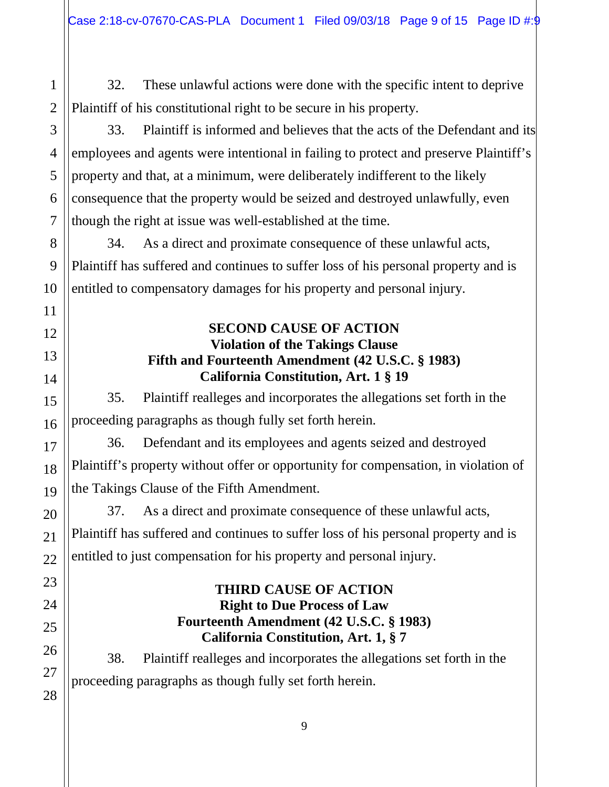32. These unlawful actions were done with the specific intent to deprive Plaintiff of his constitutional right to be secure in his property.

33. Plaintiff is informed and believes that the acts of the Defendant and its employees and agents were intentional in failing to protect and preserve Plaintiff's property and that, at a minimum, were deliberately indifferent to the likely consequence that the property would be seized and destroyed unlawfully, even though the right at issue was well-established at the time.

34. As a direct and proximate consequence of these unlawful acts, Plaintiff has suffered and continues to suffer loss of his personal property and is entitled to compensatory damages for his property and personal injury.

#### **SECOND CAUSE OF ACTION Violation of the Takings Clause Fifth and Fourteenth Amendment (42 U.S.C. § 1983) California Constitution, Art. 1 § 19**

35. Plaintiff realleges and incorporates the allegations set forth in the proceeding paragraphs as though fully set forth herein.

36. Defendant and its employees and agents seized and destroyed Plaintiff's property without offer or opportunity for compensation, in violation of the Takings Clause of the Fifth Amendment.

37. As a direct and proximate consequence of these unlawful acts, Plaintiff has suffered and continues to suffer loss of his personal property and is entitled to just compensation for his property and personal injury.

#### **THIRD CAUSE OF ACTION Right to Due Process of Law Fourteenth Amendment (42 U.S.C. § 1983) California Constitution, Art. 1, § 7**

38. Plaintiff realleges and incorporates the allegations set forth in the proceeding paragraphs as though fully set forth herein.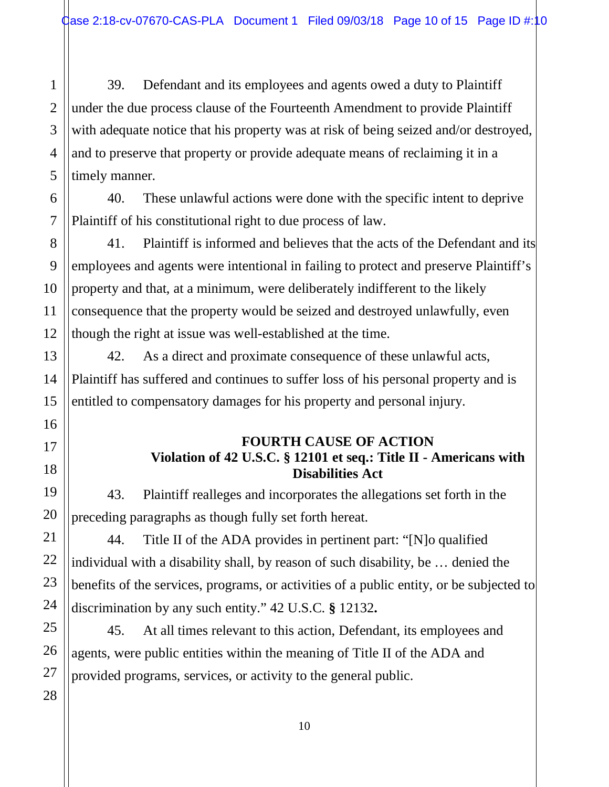39. Defendant and its employees and agents owed a duty to Plaintiff under the due process clause of the Fourteenth Amendment to provide Plaintiff with adequate notice that his property was at risk of being seized and/or destroyed, and to preserve that property or provide adequate means of reclaiming it in a timely manner.

40. These unlawful actions were done with the specific intent to deprive Plaintiff of his constitutional right to due process of law.

41. Plaintiff is informed and believes that the acts of the Defendant and its employees and agents were intentional in failing to protect and preserve Plaintiff's property and that, at a minimum, were deliberately indifferent to the likely consequence that the property would be seized and destroyed unlawfully, even though the right at issue was well-established at the time.

42. As a direct and proximate consequence of these unlawful acts, Plaintiff has suffered and continues to suffer loss of his personal property and is entitled to compensatory damages for his property and personal injury.

#### **FOURTH CAUSE OF ACTION Violation of 42 U.S.C. § 12101 et seq.: Title II - Americans with Disabilities Act**

43. Plaintiff realleges and incorporates the allegations set forth in the preceding paragraphs as though fully set forth hereat.

44. Title II of the ADA provides in pertinent part: "[N]o qualified individual with a disability shall, by reason of such disability, be … denied the benefits of the services, programs, or activities of a public entity, or be subjected to discrimination by any such entity." 42 U.S.C. **§** 12132**.** 

45. At all times relevant to this action, Defendant, its employees and agents, were public entities within the meaning of Title II of the ADA and provided programs, services, or activity to the general public.

1

2

3

4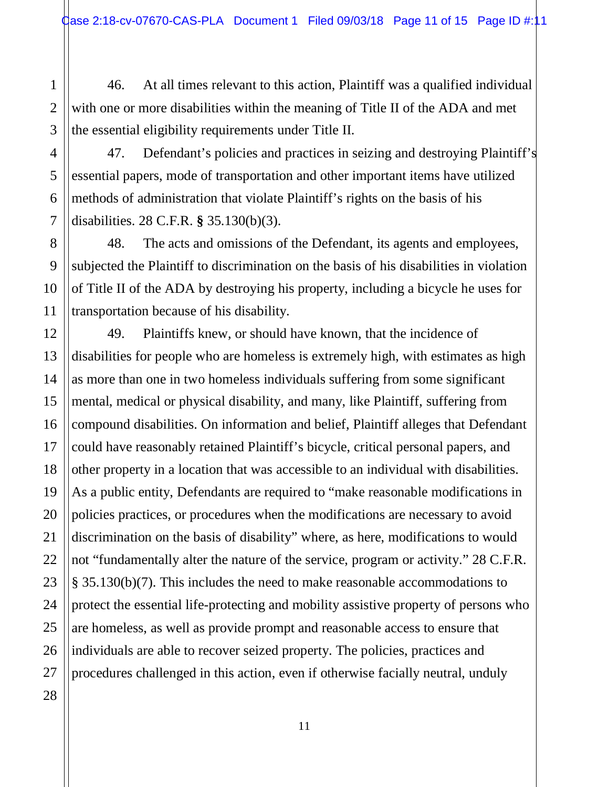46. At all times relevant to this action, Plaintiff was a qualified individual with one or more disabilities within the meaning of Title II of the ADA and met the essential eligibility requirements under Title II.

47. Defendant's policies and practices in seizing and destroying Plaintiff's essential papers, mode of transportation and other important items have utilized methods of administration that violate Plaintiff's rights on the basis of his disabilities. 28 C.F.R. **§** 35.130(b)(3).

48. The acts and omissions of the Defendant, its agents and employees, subjected the Plaintiff to discrimination on the basis of his disabilities in violation of Title II of the ADA by destroying his property, including a bicycle he uses for transportation because of his disability.

49. Plaintiffs knew, or should have known, that the incidence of disabilities for people who are homeless is extremely high, with estimates as high as more than one in two homeless individuals suffering from some significant mental, medical or physical disability, and many, like Plaintiff, suffering from compound disabilities. On information and belief, Plaintiff alleges that Defendant could have reasonably retained Plaintiff's bicycle, critical personal papers, and other property in a location that was accessible to an individual with disabilities. As a public entity, Defendants are required to "make reasonable modifications in policies practices, or procedures when the modifications are necessary to avoid discrimination on the basis of disability" where, as here, modifications to would not "fundamentally alter the nature of the service, program or activity." 28 C.F.R. § 35.130(b)(7). This includes the need to make reasonable accommodations to protect the essential life-protecting and mobility assistive property of persons who are homeless, as well as provide prompt and reasonable access to ensure that individuals are able to recover seized property. The policies, practices and procedures challenged in this action, even if otherwise facially neutral, unduly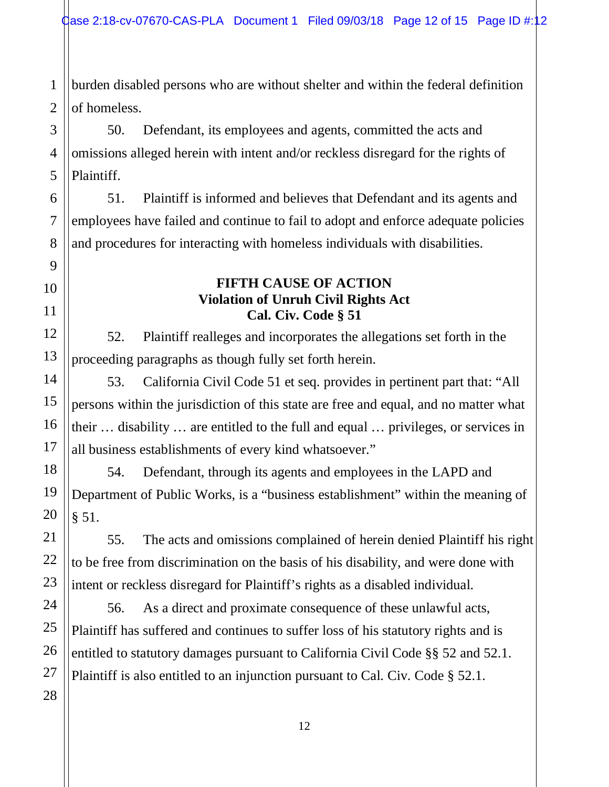1 2 burden disabled persons who are without shelter and within the federal definition of homeless.

50. Defendant, its employees and agents, committed the acts and omissions alleged herein with intent and/or reckless disregard for the rights of Plaintiff.

51. Plaintiff is informed and believes that Defendant and its agents and employees have failed and continue to fail to adopt and enforce adequate policies and procedures for interacting with homeless individuals with disabilities.

#### **FIFTH CAUSE OF ACTION Violation of Unruh Civil Rights Act Cal. Civ. Code § 51**

52. Plaintiff realleges and incorporates the allegations set forth in the proceeding paragraphs as though fully set forth herein.

53. California Civil Code 51 et seq. provides in pertinent part that: "All persons within the jurisdiction of this state are free and equal, and no matter what their … disability … are entitled to the full and equal … privileges, or services in all business establishments of every kind whatsoever."

54. Defendant, through its agents and employees in the LAPD and Department of Public Works, is a "business establishment" within the meaning of § 51.

55. The acts and omissions complained of herein denied Plaintiff his right to be free from discrimination on the basis of his disability, and were done with intent or reckless disregard for Plaintiff's rights as a disabled individual.

56. As a direct and proximate consequence of these unlawful acts, Plaintiff has suffered and continues to suffer loss of his statutory rights and is entitled to statutory damages pursuant to California Civil Code §§ 52 and 52.1. Plaintiff is also entitled to an injunction pursuant to Cal. Civ. Code § 52.1.

3

4

5

6

7

8

9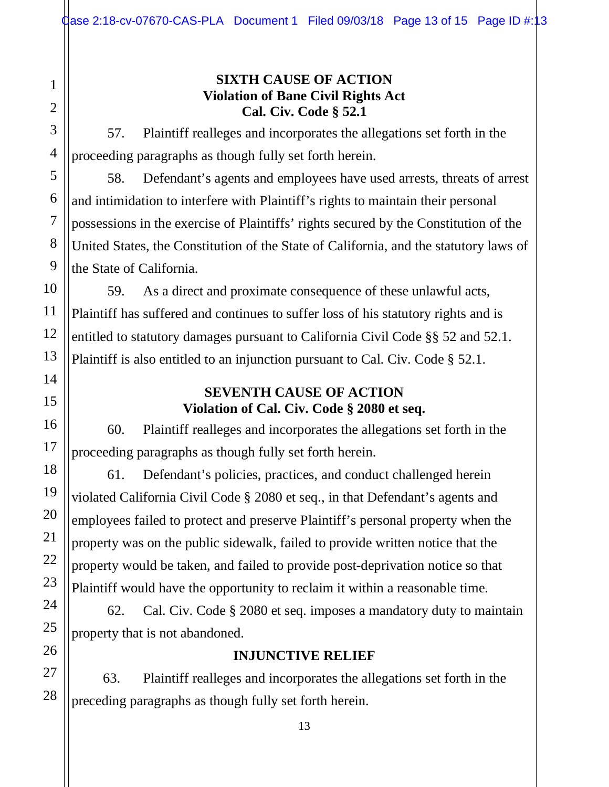#### **SIXTH CAUSE OF ACTION Violation of Bane Civil Rights Act Cal. Civ. Code § 52.1**

57. Plaintiff realleges and incorporates the allegations set forth in the proceeding paragraphs as though fully set forth herein.

58. Defendant's agents and employees have used arrests, threats of arrest and intimidation to interfere with Plaintiff's rights to maintain their personal possessions in the exercise of Plaintiffs' rights secured by the Constitution of the United States, the Constitution of the State of California, and the statutory laws of the State of California.

59. As a direct and proximate consequence of these unlawful acts, Plaintiff has suffered and continues to suffer loss of his statutory rights and is entitled to statutory damages pursuant to California Civil Code §§ 52 and 52.1. Plaintiff is also entitled to an injunction pursuant to Cal. Civ. Code § 52.1.

# **SEVENTH CAUSE OF ACTION Violation of Cal. Civ. Code § 2080 et seq.**

60. Plaintiff realleges and incorporates the allegations set forth in the proceeding paragraphs as though fully set forth herein.

61. Defendant's policies, practices, and conduct challenged herein violated California Civil Code § 2080 et seq., in that Defendant's agents and employees failed to protect and preserve Plaintiff's personal property when the property was on the public sidewalk, failed to provide written notice that the property would be taken, and failed to provide post-deprivation notice so that Plaintiff would have the opportunity to reclaim it within a reasonable time.

62. Cal. Civ. Code § 2080 et seq. imposes a mandatory duty to maintain property that is not abandoned.

# **INJUNCTIVE RELIEF**

63. Plaintiff realleges and incorporates the allegations set forth in the preceding paragraphs as though fully set forth herein.

1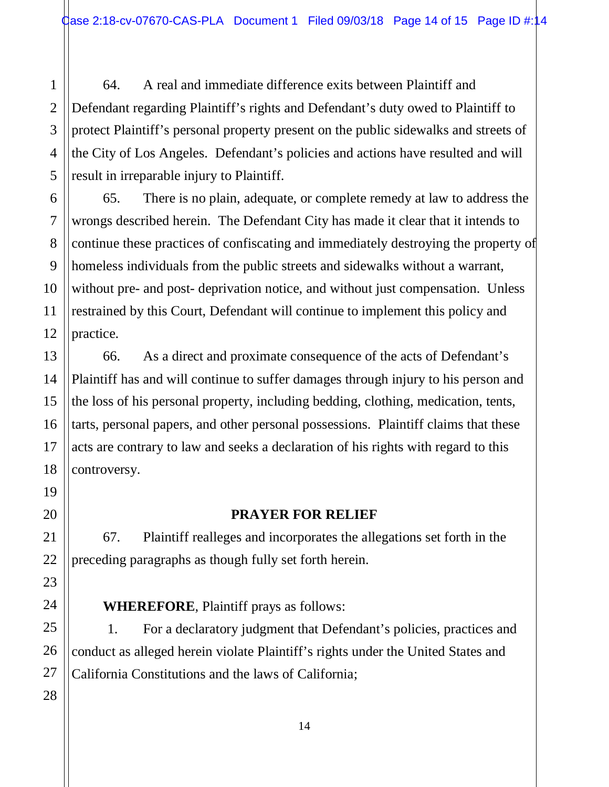64. A real and immediate difference exits between Plaintiff and Defendant regarding Plaintiff's rights and Defendant's duty owed to Plaintiff to protect Plaintiff's personal property present on the public sidewalks and streets of the City of Los Angeles. Defendant's policies and actions have resulted and will result in irreparable injury to Plaintiff.

65. There is no plain, adequate, or complete remedy at law to address the wrongs described herein. The Defendant City has made it clear that it intends to continue these practices of confiscating and immediately destroying the property of homeless individuals from the public streets and sidewalks without a warrant, without pre- and post- deprivation notice, and without just compensation. Unless restrained by this Court, Defendant will continue to implement this policy and practice.

66. As a direct and proximate consequence of the acts of Defendant's Plaintiff has and will continue to suffer damages through injury to his person and the loss of his personal property, including bedding, clothing, medication, tents, tarts, personal papers, and other personal possessions. Plaintiff claims that these acts are contrary to law and seeks a declaration of his rights with regard to this controversy.

#### **PRAYER FOR RELIEF**

67. Plaintiff realleges and incorporates the allegations set forth in the preceding paragraphs as though fully set forth herein.

**WHEREFORE**, Plaintiff prays as follows:

1. For a declaratory judgment that Defendant's policies, practices and conduct as alleged herein violate Plaintiff's rights under the United States and California Constitutions and the laws of California;

1